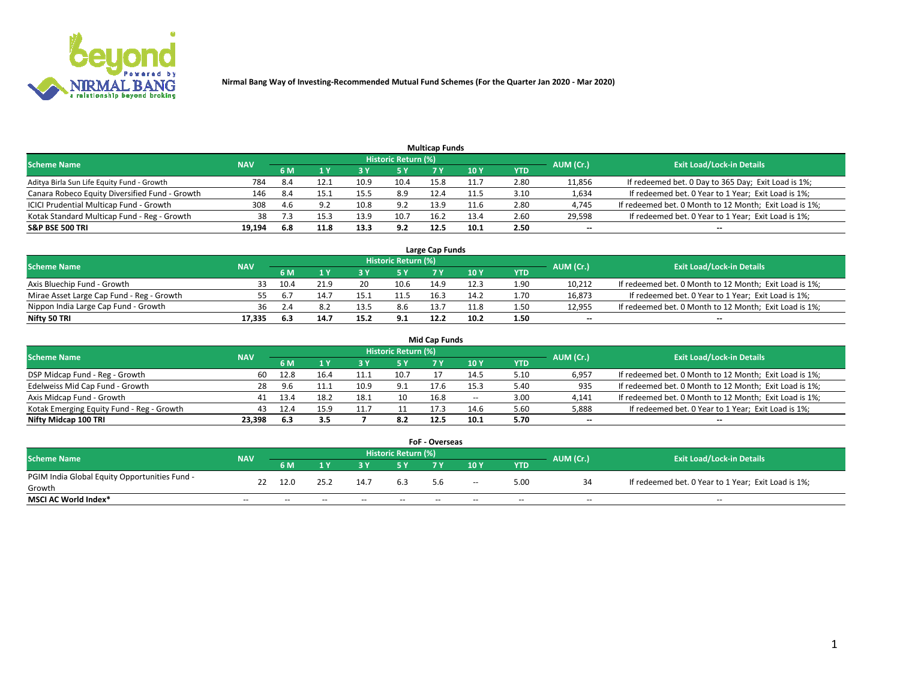

| <b>Multicap Funds</b>                          |            |      |                           |      |                     |      |      |      |                          |                                                        |  |  |  |  |
|------------------------------------------------|------------|------|---------------------------|------|---------------------|------|------|------|--------------------------|--------------------------------------------------------|--|--|--|--|
| Scheme Name                                    | <b>NAV</b> |      |                           |      | Historic Return (%) |      |      |      | AUM (Cr.)                | <b>Exit Load/Lock-in Details</b>                       |  |  |  |  |
|                                                |            | 6 M  | $\mathbf{A}$ $\mathbf{V}$ |      | 5 Y                 |      | 10 ۱ | YTD  |                          |                                                        |  |  |  |  |
| Aditya Birla Sun Life Equity Fund - Growth     | 784        | -8.4 | 12.1                      | 10.9 | 10.4                | 15.8 |      | 2.80 | 11,856                   | If redeemed bet. 0 Day to 365 Day; Exit Load is 1%;    |  |  |  |  |
| Canara Robeco Equity Diversified Fund - Growth | 146        | -8.4 | 15.1                      | 15.5 | 8.9                 | 12.4 | 11.5 | 3.10 | 1,634                    | If redeemed bet. 0 Year to 1 Year; Exit Load is 1%;    |  |  |  |  |
| ICICI Prudential Multicap Fund - Growth        | 308        | 4.6  |                           | 10.8 | 9.2                 | 13.9 | 11.6 | 2.80 | 4,745                    | If redeemed bet. 0 Month to 12 Month; Exit Load is 1%; |  |  |  |  |
| Kotak Standard Multicap Fund - Reg - Growth    | 38         |      | 15.3                      | 13.9 | 10.7                | 16.2 | 13.4 | 2.60 | 29,598                   | If redeemed bet. 0 Year to 1 Year; Exit Load is 1%;    |  |  |  |  |
| <b>S&amp;P BSE 500 TRI</b>                     | 19.194     | 6.8  | 11.8                      | 13.3 | 9.2                 | 12.5 | 10.1 | 2.50 | $\overline{\phantom{a}}$ | $- -$                                                  |  |  |  |  |

| Large Cap Funds                           |            |           |                                  |      |      |      |      |      |        |                                                        |  |  |  |  |
|-------------------------------------------|------------|-----------|----------------------------------|------|------|------|------|------|--------|--------------------------------------------------------|--|--|--|--|
| Scheme Name                               | <b>NAV</b> | AUM (Cr.) | <b>Exit Load/Lock-in Details</b> |      |      |      |      |      |        |                                                        |  |  |  |  |
|                                           |            | 6 M       |                                  |      | 5 Y  |      | 10Y  | YTD  |        |                                                        |  |  |  |  |
| Axis Bluechip Fund - Growth               |            | 10.4      | 21.9                             | 20   | 10.6 | 14.9 |      | 1.90 | 10,212 | If redeemed bet. 0 Month to 12 Month; Exit Load is 1%; |  |  |  |  |
| Mirae Asset Large Cap Fund - Reg - Growth |            |           | 14.7                             |      | 11.5 | 16.5 | 14.2 | 1.70 | 16,873 | If redeemed bet. 0 Year to 1 Year; Exit Load is 1%;    |  |  |  |  |
| Nippon India Large Cap Fund - Growth      | 36         |           |                                  | 13.5 | 8.6  | 12.7 | 11.8 | 1.50 | 12,955 | If redeemed bet. 0 Month to 12 Month; Exit Load is 1%; |  |  |  |  |
| Nifty 50 TRI                              | 17,335     | 6.3       | 14.7                             | 15.2 | 9.1  | 12.2 | 10.2 | 1.50 | $\sim$ | $-$                                                    |  |  |  |  |

|                                           |            |      |          |      |                     | <b>Mid Cap Funds</b> |        |            |           |                                                        |
|-------------------------------------------|------------|------|----------|------|---------------------|----------------------|--------|------------|-----------|--------------------------------------------------------|
| <b>Scheme Name</b>                        | <b>NAV</b> |      |          |      | Historic Return (%) |                      |        |            | AUM (Cr.) | <b>Exit Load/Lock-in Details</b>                       |
|                                           |            | 6 M  |          |      |                     |                      | 10Y    | <b>YTD</b> |           |                                                        |
| DSP Midcap Fund - Reg - Growth            | 60         | 12.8 |          |      | 10.7                |                      | 14.5   | 5.10       | 6,957     | If redeemed bet. 0 Month to 12 Month; Exit Load is 1%; |
| Edelweiss Mid Cap Fund - Growth           | 28         | 9.6  | <b>.</b> | 10.9 | 9.1                 | 17.6                 | 15.3   | 5.40       | 935       | If redeemed bet. 0 Month to 12 Month; Exit Load is 1%; |
| Axis Midcap Fund - Growth                 | 41         | 13.4 | 18.2     | 18.1 | 10                  | 16.8                 | $\sim$ | 3.00       | 4,141     | If redeemed bet. 0 Month to 12 Month; Exit Load is 1%; |
| Kotak Emerging Equity Fund - Reg - Growth | 43         | 12.4 | 15.9     | 11.7 |                     | 17.3                 | 14.6   | 5.60       | 5,888     | If redeemed bet. 0 Year to 1 Year; Exit Load is 1%;    |
| Nifty Midcap 100 TRI                      | 23.398     | 6.3  | 3.5      |      | 8.2                 | 12.5                 | 10.1   | 5.70       | $\sim$    |                                                        |

| <b>FoF - Overseas</b>                         |            |           |       |       |                            |     |        |            |           |                                                     |  |  |  |
|-----------------------------------------------|------------|-----------|-------|-------|----------------------------|-----|--------|------------|-----------|-----------------------------------------------------|--|--|--|
| <b>Scheme Name</b>                            | <b>NAV</b> |           |       |       | <b>Historic Return (%)</b> |     |        |            | AUM (Cr.) | <b>Exit Load/Lock-in Details</b>                    |  |  |  |
|                                               |            | <b>6M</b> |       |       |                            | 7 V | 10Y    | <b>YTD</b> |           |                                                     |  |  |  |
| PGIM India Global Equity Opportunities Fund - | 22         | 12.0      | つちつ   | 14.7  | 6.3                        | 5.6 | $\sim$ | 5.00       |           | If redeemed bet. 0 Year to 1 Year; Exit Load is 1%; |  |  |  |
| Growth                                        |            |           |       |       |                            |     |        |            |           |                                                     |  |  |  |
| <b>MSCI AC World Index*</b>                   | $- -$      | $- -$     | $- -$ | $- -$ | $- -$                      |     | $- -$  | $- -$      | $- -$     | $- -$                                               |  |  |  |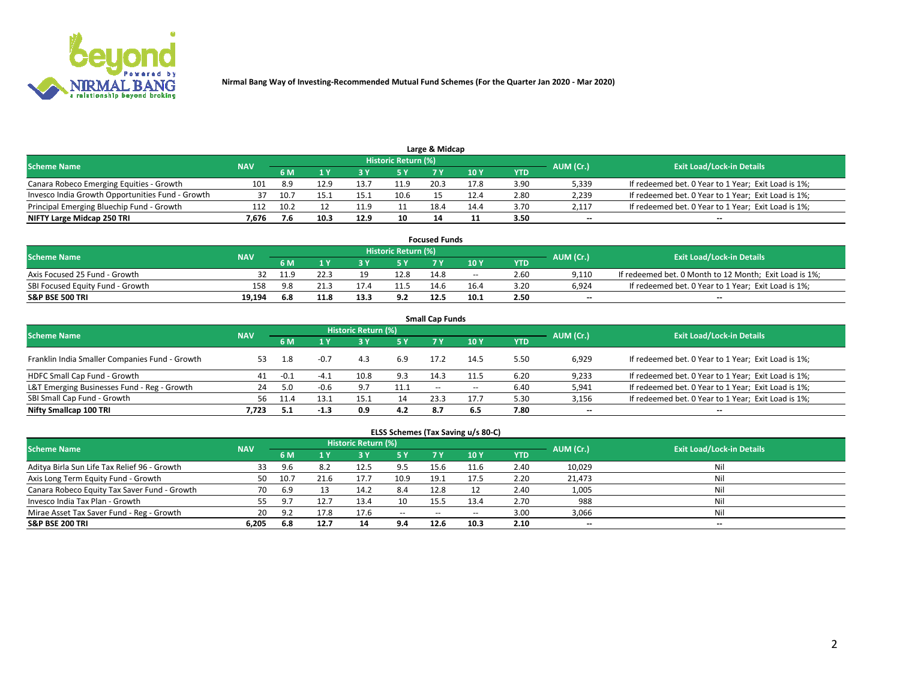

| Large & Midcap                                   |            |      |       |      |                     |      |      |      |           |                                                     |  |  |  |  |
|--------------------------------------------------|------------|------|-------|------|---------------------|------|------|------|-----------|-----------------------------------------------------|--|--|--|--|
| <b>Scheme Name</b>                               | <b>NAV</b> |      |       |      | Historic Return (%) |      |      |      | AUM (Cr.) | <b>Exit Load/Lock-in Details</b>                    |  |  |  |  |
|                                                  |            | 6 M  |       |      | 5 Y                 |      | 10Y  | YTD  |           |                                                     |  |  |  |  |
| Canara Robeco Emerging Equities - Growth         | 101        | -8.9 | 12.9  |      | 11.9                | 20.3 |      | 3.90 | 5,339     | If redeemed bet. 0 Year to 1 Year; Exit Load is 1%; |  |  |  |  |
| Invesco India Growth Opportunities Fund - Growth |            |      | 15. . | 15   | 10.6                |      |      | 2.80 | 2,239     | If redeemed bet. 0 Year to 1 Year; Exit Load is 1%; |  |  |  |  |
| Principal Emerging Bluechip Fund - Growth        | 112        | 10.2 |       |      |                     | 18.4 | 14.4 | 3.70 | 2,117     | If redeemed bet. 0 Year to 1 Year; Exit Load is 1%; |  |  |  |  |
| NIFTY Large Midcap 250 TRI                       | 7.676      |      | 10.3  | 12.9 | 10                  |      |      | 3.50 | $\sim$    | $-$                                                 |  |  |  |  |

| <b>Focused Funds</b>             |            |            |      |      |                     |      |       |      |           |                                                        |  |  |  |
|----------------------------------|------------|------------|------|------|---------------------|------|-------|------|-----------|--------------------------------------------------------|--|--|--|
| <b>Scheme Name</b>               | <b>NAV</b> |            |      |      | Historic Return (%) |      |       |      |           | <b>Exit Load/Lock-in Details</b>                       |  |  |  |
|                                  |            | <b>6 M</b> |      |      |                     |      | 10 Y  | YTD  | AUM (Cr.) |                                                        |  |  |  |
| Axis Focused 25 Fund - Growth    |            |            | 22.3 | 10   | 12.8                | 14.8 | $- -$ | 2.60 | 9.110     | If redeemed bet. 0 Month to 12 Month; Exit Load is 1%; |  |  |  |
| SBI Focused Equity Fund - Growth | 158        | 9 R        | 21.3 |      |                     | 14.6 | 16.4  | 3.20 | 6.924     | If redeemed bet. 0 Year to 1 Year; Exit Load is 1%;    |  |  |  |
| <b>S&amp;P BSE 500 TRI</b>       | 19.194     | 6.8        | 11.8 | 13.3 | 9.2                 | 12.5 | 10.1  | 2.50 | $\sim$    | $- -$                                                  |  |  |  |

| <b>Small Cap Funds</b>                         |            |        |        |                     |      |       |       |      |           |                                                     |  |  |  |  |
|------------------------------------------------|------------|--------|--------|---------------------|------|-------|-------|------|-----------|-----------------------------------------------------|--|--|--|--|
| <b>Scheme Name</b>                             | <b>NAV</b> |        |        | Historic Return (%) |      |       |       |      | AUM (Cr.) | <b>Exit Load/Lock-in Details</b>                    |  |  |  |  |
|                                                |            | 6 M    |        | 3Y                  | 5 Y  | 7 Y   | 10Y   | YTD  |           |                                                     |  |  |  |  |
| Franklin India Smaller Companies Fund - Growth | 53         | 1.8    |        | 4.3                 | 6.9  | 17.2  | 14.5  | 5.50 | 6,929     | If redeemed bet. 0 Year to 1 Year; Exit Load is 1%; |  |  |  |  |
| HDFC Small Cap Fund - Growth                   | 41         | $-0.1$ | -4.⊥   |                     | 9.3  | 14.3  | 11.5  | 6.20 | 9,233     | If redeemed bet. 0 Year to 1 Year; Exit Load is 1%; |  |  |  |  |
| L&T Emerging Businesses Fund - Reg - Growth    | 24         | 5.0    | $-0.6$ | 9.7                 | 11.1 | $- -$ | $- -$ | 6.40 | 5,941     | If redeemed bet. 0 Year to 1 Year; Exit Load is 1%; |  |  |  |  |
| SBI Small Cap Fund - Growth                    | 56         | 11.4   | 13.1   | 15.1                | 14   | 23.3  | 17.7  | 5.30 | 3,156     | If redeemed bet. 0 Year to 1 Year; Exit Load is 1%; |  |  |  |  |
| Nifty Smallcap 100 TRI                         | 7.723      |        | $-1.3$ | 0.9                 | 4.2  | 8.7   | 6.5   | 7.80 | $\sim$    | $- -$                                               |  |  |  |  |

## **ELSS Schemes (Tax Saving u/s 80-C)**

| <b>Scheme Name</b>                           | <b>NAV</b> |      |      | <b>Historic Return (%)</b> |           |      |      |      | AUM (Cr.) | <b>Exit Load/Lock-in Details</b> |
|----------------------------------------------|------------|------|------|----------------------------|-----------|------|------|------|-----------|----------------------------------|
|                                              |            | 6 M  | 1 Y  | 3 Y                        | <b>5Y</b> | 7 Y  | 10Y  | YTD  |           |                                  |
| Aditya Birla Sun Life Tax Relief 96 - Growth | 33         | 9.6  |      | 12.5                       | 9.5       | 15.6 | 11.6 | 2.40 | 10,029    | Nil                              |
| Axis Long Term Equity Fund - Growth          | 50         | 10.7 | 21.6 | 17.7                       | 10.9      | 19.1 | 17.5 | 2.20 | 21,473    | Nil                              |
| Canara Robeco Equity Tax Saver Fund - Growth | 70         | 6.9  |      | 14.2                       | 8.4       | 12.8 |      | 2.40 | 1,005     | Nil                              |
| Invesco India Tax Plan - Growth              | 55         | 9.7  |      | 13.4                       | 10        | 15.5 | 13.4 | 2.70 | 988       | Nil                              |
| Mirae Asset Tax Saver Fund - Reg - Growth    | 20         | -97  | 17.8 | 17.6                       | $- -$     | --   | --   | 3.00 | 3,066     | Nil                              |
| S&P BSE 200 TRI                              | 6,205      | 6.8  | 12.7 | 14                         | 9.4       | 12.6 | 10.3 | 2.10 | $-$       | $- -$                            |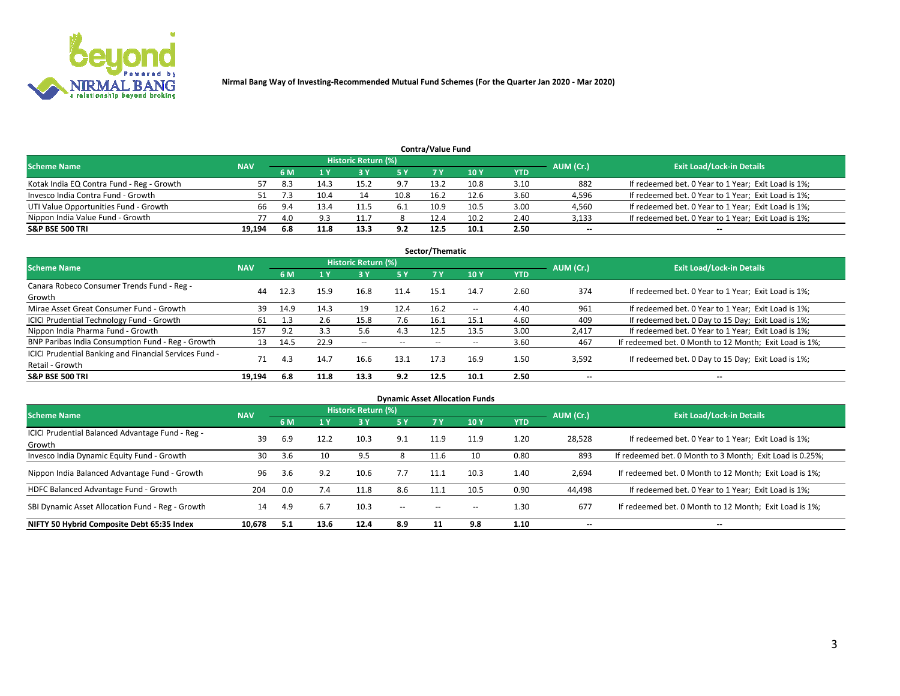

| <b>Contra/Value Fund</b>                                                                                        |        |      |      |      |      |      |      |      |        |                                                     |  |  |  |  |
|-----------------------------------------------------------------------------------------------------------------|--------|------|------|------|------|------|------|------|--------|-----------------------------------------------------|--|--|--|--|
| <b>Historic Return (%)</b><br><b>Exit Load/Lock-in Details</b><br>AUM (Cr.)<br><b>Scheme Name</b><br><b>NAV</b> |        |      |      |      |      |      |      |      |        |                                                     |  |  |  |  |
|                                                                                                                 |        | 6 M  |      |      | 5 Y  | 7 V  | 10Y  | YTD  |        |                                                     |  |  |  |  |
| Kotak India EQ Contra Fund - Reg - Growth                                                                       |        | -8.3 | 14.3 | 15.2 | 9.7  | 13.2 | 10.8 | 3.10 | 882    | If redeemed bet. 0 Year to 1 Year; Exit Load is 1%; |  |  |  |  |
| Invesco India Contra Fund - Growth                                                                              | 51     |      | 10.4 | 14   | 10.8 | 16.2 | 12.6 | 3.60 | 4,596  | If redeemed bet. 0 Year to 1 Year; Exit Load is 1%; |  |  |  |  |
| UTI Value Opportunities Fund - Growth                                                                           | 66     | 9.4  | 13.4 | 11.5 | -6.1 | 10.9 | 10.5 | 3.00 | 4,560  | If redeemed bet. 0 Year to 1 Year; Exit Load is 1%; |  |  |  |  |
| Nippon India Value Fund - Growth                                                                                |        | 4.0  |      |      |      | 12.4 | 10.2 | 2.40 | 3,133  | If redeemed bet. 0 Year to 1 Year; Exit Load is 1%; |  |  |  |  |
| <b>S&amp;P BSE 500 TRI</b>                                                                                      | 19.194 | 6.8  | 11.8 | 13.3 | 9.2  | 12.5 | 10.1 | 2.50 | $\sim$ | $- -$                                               |  |  |  |  |

| Sector/Thematic                                                           |            |      |      |                     |           |       |               |            |                          |                                                        |  |  |  |  |
|---------------------------------------------------------------------------|------------|------|------|---------------------|-----------|-------|---------------|------------|--------------------------|--------------------------------------------------------|--|--|--|--|
| <b>Scheme Name</b>                                                        | <b>NAV</b> |      |      | Historic Return (%) |           |       |               |            | AUM (Cr.)                | <b>Exit Load/Lock-in Details</b>                       |  |  |  |  |
|                                                                           |            | 6 M  | 1 Y  | 73 Y                | <b>5Y</b> | 7 Y   | 10Y           | <b>YTD</b> |                          |                                                        |  |  |  |  |
| Canara Robeco Consumer Trends Fund - Reg -<br>Growth                      | 44         | 12.3 | 15.9 | 16.8                | 11.4      | 15.1  | 14.7          | 2.60       | 374                      | If redeemed bet. 0 Year to 1 Year; Exit Load is 1%;    |  |  |  |  |
| Mirae Asset Great Consumer Fund - Growth                                  | 39         | 14.9 | 14.3 | 19                  | 12.4      | 16.2  | $\sim$ $\sim$ | 4.40       | 961                      | If redeemed bet. 0 Year to 1 Year; Exit Load is 1%;    |  |  |  |  |
| ICICI Prudential Technology Fund - Growth                                 | 61         | 1.3  | 2.6  | 15.8                | 7.6       | 16.1  | 15.1          | 4.60       | 409                      | If redeemed bet. 0 Day to 15 Day; Exit Load is 1%;     |  |  |  |  |
| Nippon India Pharma Fund - Growth                                         | 157        | 9.2  | 3.3  | 5.6                 | 4.3       | 12.5  | 13.5          | 3.00       | 2,417                    | If redeemed bet. 0 Year to 1 Year; Exit Load is 1%;    |  |  |  |  |
| BNP Paribas India Consumption Fund - Reg - Growth                         | 13         | 14.5 | 22.9 | $- -$               | $- -$     | $- -$ | $- -$         | 3.60       | 467                      | If redeemed bet. 0 Month to 12 Month; Exit Load is 1%; |  |  |  |  |
| ICICI Prudential Banking and Financial Services Fund -<br>Retail - Growth | 71         | 4.3  | 14.7 | 16.6                | 13.1      | 17.3  | 16.9          | 1.50       | 3,592                    | If redeemed bet. 0 Day to 15 Day; Exit Load is 1%;     |  |  |  |  |
| <b>S&amp;P BSE 500 TRI</b>                                                | 19.194     | 6.8  | 11.8 | 13.3                | 9.2       | 12.5  | 10.1          | 2.50       | $\overline{\phantom{a}}$ | $- -$                                                  |  |  |  |  |

| <b>Dynamic Asset Allocation Funds</b>                      |            |     |      |                     |        |      |                 |            |                          |                                                          |  |  |  |
|------------------------------------------------------------|------------|-----|------|---------------------|--------|------|-----------------|------------|--------------------------|----------------------------------------------------------|--|--|--|
| <b>Scheme Name</b>                                         | <b>NAV</b> |     |      | Historic Return (%) |        |      |                 |            | AUM (Cr.)                | <b>Exit Load/Lock-in Details</b>                         |  |  |  |
|                                                            |            | 6 M |      | 3 Y                 | 5 Y    | 7 Y  | 10 <sub>Y</sub> | <b>YTD</b> |                          |                                                          |  |  |  |
| ICICI Prudential Balanced Advantage Fund - Reg -<br>Growth | 39         | 6.9 | 12.2 | 10.3                | 9.1    | 11.9 | 11.9            | 1.20       | 28,528                   | If redeemed bet. 0 Year to 1 Year; Exit Load is 1%;      |  |  |  |
| Invesco India Dynamic Equity Fund - Growth                 | 30         | 3.6 | 10   | 9.5                 | Ö      | 11.6 | 10              | 0.80       | 893                      | If redeemed bet. 0 Month to 3 Month; Exit Load is 0.25%; |  |  |  |
| Nippon India Balanced Advantage Fund - Growth              | 96         | 3.6 | 9.2  | 10.6                | 7.7    | 11.1 | 10.3            | 1.40       | 2,694                    | If redeemed bet. 0 Month to 12 Month; Exit Load is 1%;   |  |  |  |
| HDFC Balanced Advantage Fund - Growth                      | 204        | 0.0 | 7.4  | 11.8                | 8.6    | 11.1 | 10.5            | 0.90       | 44,498                   | If redeemed bet. 0 Year to 1 Year; Exit Load is 1%;      |  |  |  |
| SBI Dynamic Asset Allocation Fund - Reg - Growth           | 14         | 4.9 | 6.7  | 10.3                | $\sim$ | --   | --              | 1.30       | 677                      | If redeemed bet. 0 Month to 12 Month; Exit Load is 1%;   |  |  |  |
| NIFTY 50 Hybrid Composite Debt 65:35 Index                 | 10,678     | 5.1 | 13.6 | 12.4                | 8.9    | 11   | 9.8             | 1.10       | $\overline{\phantom{a}}$ | $- -$                                                    |  |  |  |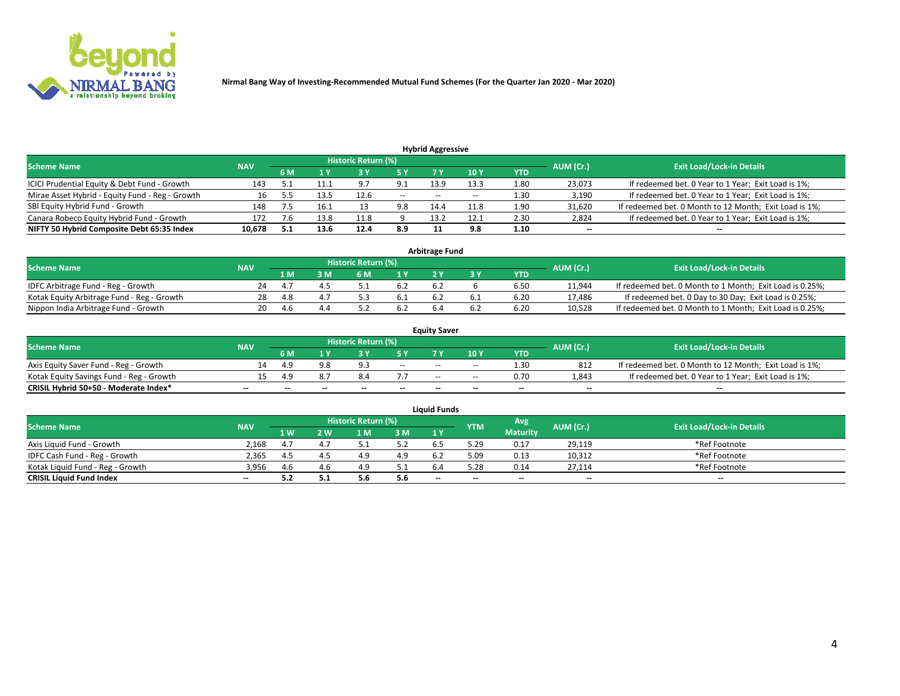

| <b>Hybrid Aggressive</b>                                                                                        |        |     |      |      |        |                          |       |                   |                          |                                                        |  |  |  |  |
|-----------------------------------------------------------------------------------------------------------------|--------|-----|------|------|--------|--------------------------|-------|-------------------|--------------------------|--------------------------------------------------------|--|--|--|--|
| <b>Historic Return (%)</b><br><b>Exit Load/Lock-in Details</b><br>AUM (Cr.)<br><b>Scheme Name</b><br><b>NAV</b> |        |     |      |      |        |                          |       |                   |                          |                                                        |  |  |  |  |
|                                                                                                                 |        | 6 M |      |      |        |                          | 10Y   | YTD               |                          |                                                        |  |  |  |  |
| ICICI Prudential Equity & Debt Fund - Growth                                                                    | 143    |     |      | 9.7  | 9.1    | 13.9                     | 13.3  | 1.80              | 23,073                   | If redeemed bet. 0 Year to 1 Year; Exit Load is 1%;    |  |  |  |  |
| Mirae Asset Hybrid - Equity Fund - Reg - Growth                                                                 | 16     |     | 13.5 | 12.6 | $\sim$ | $\overline{\phantom{a}}$ | $- -$ | 1.30 <sub>1</sub> | 3,190                    | If redeemed bet. 0 Year to 1 Year; Exit Load is 1%;    |  |  |  |  |
| SBI Equity Hybrid Fund - Growth                                                                                 | 148    |     | 16.1 |      | 9.8    | 14.4                     | 11.8  | 1.90              | 31,620                   | If redeemed bet. 0 Month to 12 Month; Exit Load is 1%; |  |  |  |  |
| Canara Robeco Equity Hybrid Fund - Growth                                                                       | 172    |     | 13.8 | 11.8 |        | 13.2                     | 12.1  | 2.30              | 2,824                    | If redeemed bet. 0 Year to 1 Year; Exit Load is 1%;    |  |  |  |  |
| NIFTY 50 Hybrid Composite Debt 65:35 Index                                                                      | 10,678 |     | 13.6 | 12.4 | 8.9    |                          | 9.8   | 1.10              | $\overline{\phantom{a}}$ | $- -$                                                  |  |  |  |  |

|                                            |            |           |                                  |     |      | <b>Arbitrage Fund</b> |      |        |                                                          |
|--------------------------------------------|------------|-----------|----------------------------------|-----|------|-----------------------|------|--------|----------------------------------------------------------|
| Scheme Name                                | <b>NAV</b> | AUM (Cr.) | <b>Exit Load/Lock-in Details</b> |     |      |                       |      |        |                                                          |
|                                            |            | 1 M       | ያ M                              | 6 M |      |                       | YTD  |        |                                                          |
| IDFC Arbitrage Fund - Reg - Growth         | 24         |           |                                  |     | 6.2  | 6.2                   | 6.50 | 11,944 | If redeemed bet. 0 Month to 1 Month; Exit Load is 0.25%; |
| Kotak Equity Arbitrage Fund - Reg - Growth | 28         | 4.8       |                                  |     | -6.1 |                       | 6.20 | 17,486 | If redeemed bet. 0 Day to 30 Day; Exit Load is 0.25%;    |
| Nippon India Arbitrage Fund - Growth       | 20         | 4.b       |                                  |     | 6.2  |                       | 6.20 | 10.528 | If redeemed bet. 0 Month to 1 Month; Exit Load is 0.25%; |

|                                          |            |                                                                             |     |                          |                          | <b>Equity Saver</b> |               |            |                          |                                                        |  |  |
|------------------------------------------|------------|-----------------------------------------------------------------------------|-----|--------------------------|--------------------------|---------------------|---------------|------------|--------------------------|--------------------------------------------------------|--|--|
| Scheme Name                              | <b>NAV</b> | <b>Historic Return (%)</b><br><b>Exit Load/Lock-in Details</b><br>AUM (Cr.) |     |                          |                          |                     |               |            |                          |                                                        |  |  |
|                                          |            | 6 M                                                                         |     |                          | 5 Y                      |                     | $\sqrt{10}$ Y | <b>YTD</b> |                          |                                                        |  |  |
| Axis Equity Saver Fund - Reg - Growth    |            | 4.9                                                                         |     | $\alpha$                 | $\sim$                   | $- -$               | $- -$         | 1.30       | 812                      | If redeemed bet. 0 Month to 12 Month; Exit Load is 1%; |  |  |
| Kotak Equity Savings Fund - Reg - Growth |            | 4 Q                                                                         |     |                          |                          | $\sim$ $\sim$       | $- -$         | 0.70       | 1,843                    | If redeemed bet. 0 Year to 1 Year; Exit Load is 1%;    |  |  |
| CRISIL Hybrid 50+50 - Moderate Index*    |            | $- -$                                                                       | $-$ | $\overline{\phantom{a}}$ | $\overline{\phantom{a}}$ | $\sim$              | --            | $\sim$     | $\overline{\phantom{a}}$ | $- -$                                                  |  |  |

| <b>Liquid Funds</b>              |            |      |     |                            |       |                                                |            |                 |                          |                                  |  |  |  |
|----------------------------------|------------|------|-----|----------------------------|-------|------------------------------------------------|------------|-----------------|--------------------------|----------------------------------|--|--|--|
| Scheme Name                      | <b>NAV</b> |      |     | <b>Historic Return (%)</b> |       |                                                | <b>YTM</b> | Avg             | AUM (Cr.)                | <b>Exit Load/Lock-in Details</b> |  |  |  |
|                                  |            | 1 W. | ว พ | 1 M                        | 3M    | 1 <sup>Y</sup>                                 |            | <b>Maturity</b> |                          |                                  |  |  |  |
| Axis Liquid Fund - Growth        | 2.168      |      |     |                            | 5.2   |                                                | 29.د       | 0.17            | 29,119                   | *Ref Footnote                    |  |  |  |
| IDFC Cash Fund - Reg - Growth    | 2.365      | 4.5  |     |                            | 4.9   |                                                | 5.09       | 0.13            | 10,312                   | *Ref Footnote                    |  |  |  |
| Kotak Liquid Fund - Reg - Growth | 3,956      | 4.b  |     | 4.9                        | ے . ب |                                                | .28        | 0.14            | 27,114                   | *Ref Footnote                    |  |  |  |
| <b>CRISIL Liquid Fund Index</b>  | $\sim$     | 5.2  |     | 5.t                        | 5.6   | $\hspace{0.1mm}-\hspace{0.1mm}-\hspace{0.1mm}$ | --         | $\sim$          | $\overline{\phantom{a}}$ | $\sim$                           |  |  |  |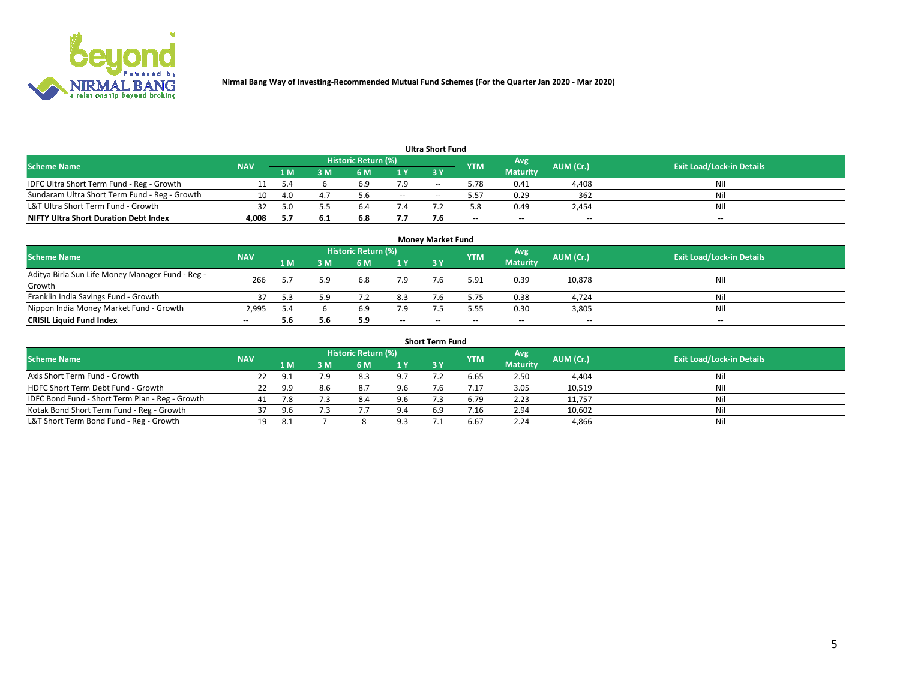

|                                               |            |     |      |                     |       | <b>Ultra Short Fund</b> |            |                 |           |                                  |
|-----------------------------------------------|------------|-----|------|---------------------|-------|-------------------------|------------|-----------------|-----------|----------------------------------|
| <b>Scheme Name</b>                            | <b>NAV</b> |     |      | Historic Return (%) |       |                         | <b>YTM</b> | Avg             | AUM (Cr.) | <b>Exit Load/Lock-in Details</b> |
|                                               |            | 1 M | 3 M  | 6 M                 | 1 Y   | 3 Y                     |            | <b>Maturity</b> |           |                                  |
| IDFC Ultra Short Term Fund - Reg - Growth     |            | 5.4 |      | 6.9                 | 7.9   | $- -$                   | 5.78       | 0.41            | 4,408     | Nil                              |
| Sundaram Ultra Short Term Fund - Reg - Growth | 10         | 4.0 |      | 5.6                 | $- -$ | --                      | 5.57       | 0.29            | 362       | Nil                              |
| L&T Ultra Short Term Fund - Growth            |            |     |      | b.                  |       |                         | 5.8        | 0.49            | 2,454     | Nil                              |
| <b>NIFTY Ultra Short Duration Debt Index</b>  | 4.008      | 5.7 | -6.1 | 6.8                 | 7.7   |                         | $\sim$     | $\sim$          | $\sim$    | $- -$                            |

| <b>Money Market Fund</b>                         |            |      |     |                     |        |     |            |                 |           |                                  |  |  |  |
|--------------------------------------------------|------------|------|-----|---------------------|--------|-----|------------|-----------------|-----------|----------------------------------|--|--|--|
| <b>Scheme Name</b>                               | <b>NAV</b> |      |     | Historic Return (%) |        |     | <b>YTM</b> | 'Avg            | AUM (Cr.) | <b>Exit Load/Lock-in Details</b> |  |  |  |
|                                                  |            | 1 M  | 3 M | 6 M                 | 1 Y    | 3Y  |            | <b>Maturity</b> |           |                                  |  |  |  |
| Aditya Birla Sun Life Money Manager Fund - Reg - | 266        |      | 5.9 | 6.8                 | 7.9    | 7.6 | 5.91       | 0.39            | 10,878    | Nil                              |  |  |  |
| Growth                                           |            |      |     |                     |        |     |            |                 |           |                                  |  |  |  |
| Franklin India Savings Fund - Growth             |            |      | 5.9 |                     | 8.3    |     | 5.75       | 0.38            | 4,724     | Nil                              |  |  |  |
| Nippon India Money Market Fund - Growth          | 2.995      | -5.4 |     | 6.9                 | 7.9    |     | 5.55       | 0.30            | 3,805     | Nil                              |  |  |  |
| <b>CRISIL Liquid Fund Index</b>                  | $- -$      | 5.6  | 5.6 | 5.9                 | $\sim$ | --  | --         | $\sim$          | $\sim$    | $\sim$                           |  |  |  |

| <b>Short Term Fund</b>                          |            |            |     |                     |     |           |            |                 |           |                                  |  |  |  |  |
|-------------------------------------------------|------------|------------|-----|---------------------|-----|-----------|------------|-----------------|-----------|----------------------------------|--|--|--|--|
| <b>Scheme Name</b>                              | <b>NAV</b> |            |     | Historic Return (%) |     |           | <b>YTM</b> | Avg             | AUM (Cr.) | <b>Exit Load/Lock-in Details</b> |  |  |  |  |
|                                                 |            | 1 M        | 3 M | 6 M                 | 1Y  | <b>3Y</b> |            | <b>Maturity</b> |           |                                  |  |  |  |  |
| Axis Short Term Fund - Growth                   |            | $\alpha$ . | 7.9 | 8.3                 | 9.7 |           | 6.65       | 2.50            | 4,404     | Nil                              |  |  |  |  |
| HDFC Short Term Debt Fund - Growth              | 22         | 9.9        | 8.6 | 8.7                 | 9.6 |           |            | 3.05            | 10,519    | Nil                              |  |  |  |  |
| IDFC Bond Fund - Short Term Plan - Reg - Growth | 41         |            |     | 8.4                 | 9.6 |           | 6.79       | 2.23            | 11,757    | Nil                              |  |  |  |  |
| Kotak Bond Short Term Fund - Reg - Growth       |            | 9.6        |     |                     | 9.4 | 6.9       | /0.16      | 2.94            | 10,602    | Nil                              |  |  |  |  |
| L&T Short Term Bond Fund - Reg - Growth         |            |            |     |                     | 9.3 |           | 6.67       | 2.24            | 4,866     | Nil                              |  |  |  |  |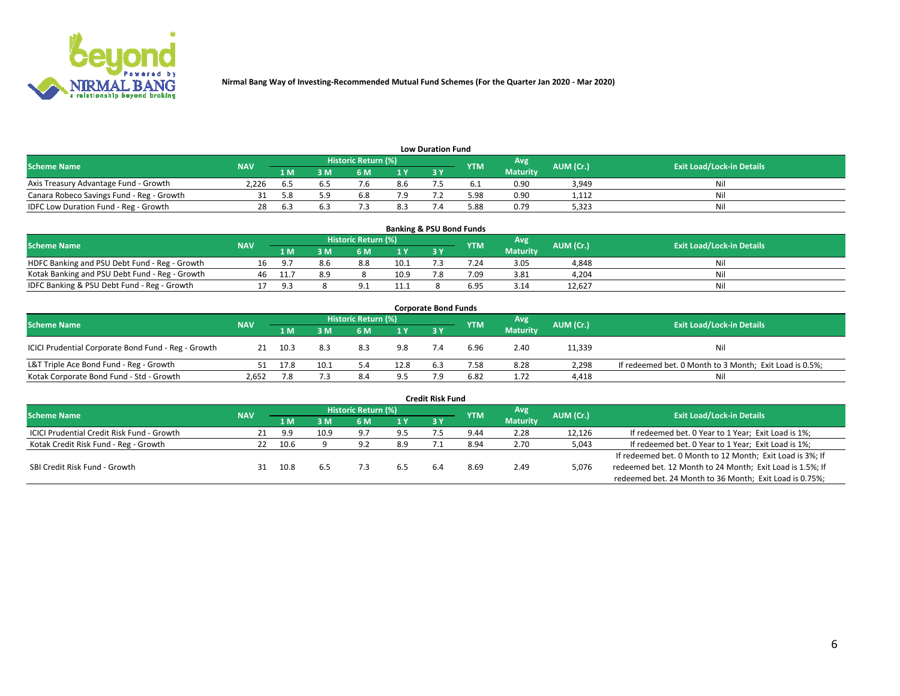

| <b>Low Duration Fund</b>                  |            |     |      |                            |     |  |            |                 |           |                                  |  |  |  |
|-------------------------------------------|------------|-----|------|----------------------------|-----|--|------------|-----------------|-----------|----------------------------------|--|--|--|
| <b>Scheme Name</b>                        | <b>NAV</b> |     |      | <b>Historic Return (%)</b> |     |  | <b>YTM</b> | Avg             | AUM (Cr.) | <b>Exit Load/Lock-in Details</b> |  |  |  |
|                                           |            | 1 M | ያ M  | 5 M                        | 1 V |  |            | <b>Maturity</b> |           |                                  |  |  |  |
| Axis Treasury Advantage Fund - Growth     | 2.226      |     |      |                            | 8.6 |  |            | 0.90            | 3,949     | Nil                              |  |  |  |
| Canara Robeco Savings Fund - Reg - Growth |            |     | г. α | b.8                        | 7.9 |  | 5.98       | 0.90            | 1,112     | Nil                              |  |  |  |
| IDFC Low Duration Fund - Reg - Growth     |            | . ರ |      |                            | 8.3 |  | 5.88       | 0.79            | 5,323     | Nil                              |  |  |  |

| <b>Banking &amp; PSU Bond Funds</b>            |            |         |     |                            |      |           |            |                 |           |                                  |  |  |  |
|------------------------------------------------|------------|---------|-----|----------------------------|------|-----------|------------|-----------------|-----------|----------------------------------|--|--|--|
| <b>Scheme Name</b>                             | <b>NAV</b> |         |     | <b>Historic Return (%)</b> |      |           | <b>YTM</b> | Avg             | AUM (Cr.) | <b>Exit Load/Lock-in Details</b> |  |  |  |
|                                                |            | 1 M     | sм  | 6 M                        | 71 Y | <b>3Y</b> |            | <b>Maturity</b> |           |                                  |  |  |  |
| HDFC Banking and PSU Debt Fund - Reg - Growth  |            | - Q - T | 8.b | 8.8                        | 10.1 |           | 7.24       | 3.05            | 4,848     | Ni                               |  |  |  |
| Kotak Banking and PSU Debt Fund - Reg - Growth | 46         |         |     |                            | 10.9 |           | 7.09       | 3.81            | 4,204     | Ni                               |  |  |  |
| IDFC Banking & PSU Debt Fund - Reg - Growth    |            | .പെ     |     |                            | 11.1 |           | 6.95       | 3.14            | 12.627    | Ni                               |  |  |  |

| <b>Corporate Bond Funds</b>                         |            |      |      |                     |      |     |            |                 |           |                                                         |  |  |  |  |
|-----------------------------------------------------|------------|------|------|---------------------|------|-----|------------|-----------------|-----------|---------------------------------------------------------|--|--|--|--|
| <b>Scheme Name</b>                                  | <b>NAV</b> |      |      | Historic Return (%) |      |     | <b>YTM</b> | Avg             | AUM (Cr.) | <b>Exit Load/Lock-in Details</b>                        |  |  |  |  |
|                                                     |            | 1 M  | I M  | 6 M                 | 1 Y  | 3 Y |            | <b>Maturity</b> |           |                                                         |  |  |  |  |
| ICICI Prudential Corporate Bond Fund - Reg - Growth |            | 10.3 | 8.3  | 8.3                 | 9.8  |     | 6.96       | 2.40            | 11,339    | Nil                                                     |  |  |  |  |
| L&T Triple Ace Bond Fund - Reg - Growth             |            | 17.8 | 10.1 |                     | 12.8 | 6.3 | 7.58       | 8.28            | 2,298     | If redeemed bet. 0 Month to 3 Month; Exit Load is 0.5%; |  |  |  |  |
| Kotak Corporate Bond Fund - Std - Growth            | 2.652      |      |      | 8.4                 | 9.5  |     | 6.82       | 1.72            | 4,418     | Nil                                                     |  |  |  |  |

|                                            |            |      |      |                     |      | <b>Credit Risk Fund</b> |            |                 |           |                                                           |
|--------------------------------------------|------------|------|------|---------------------|------|-------------------------|------------|-----------------|-----------|-----------------------------------------------------------|
| <b>Scheme Name</b>                         | <b>NAV</b> |      |      | Historic Return (%) |      |                         | <b>YTM</b> | Avg             | AUM (Cr.) | <b>Exit Load/Lock-in Details</b>                          |
|                                            |            | 1 M  | : M  | 6 M                 | '1 Y | 3 Y                     |            | <b>Maturity</b> |           |                                                           |
| ICICI Prudential Credit Risk Fund - Growth |            | 9.9  | 10.9 | 9.7                 | 9.5  |                         | 9.44       | 2.28            | 12,126    | If redeemed bet. 0 Year to 1 Year; Exit Load is 1%;       |
| Kotak Credit Risk Fund - Reg - Growth      |            | 10.6 |      | 9 J                 | 8.9  |                         | 8.94       | 2.70            | 5,043     | If redeemed bet. 0 Year to 1 Year; Exit Load is 1%;       |
|                                            |            |      |      |                     |      |                         |            |                 |           | If redeemed bet. 0 Month to 12 Month; Exit Load is 3%; If |
| SBI Credit Risk Fund - Growth              |            | 10.8 |      |                     |      |                         | 8.69       | 2.49            | 5,076     | redeemed bet. 12 Month to 24 Month; Exit Load is 1.5%; If |
|                                            |            |      |      |                     |      |                         |            |                 |           | redeemed bet. 24 Month to 36 Month; Exit Load is 0.75%;   |